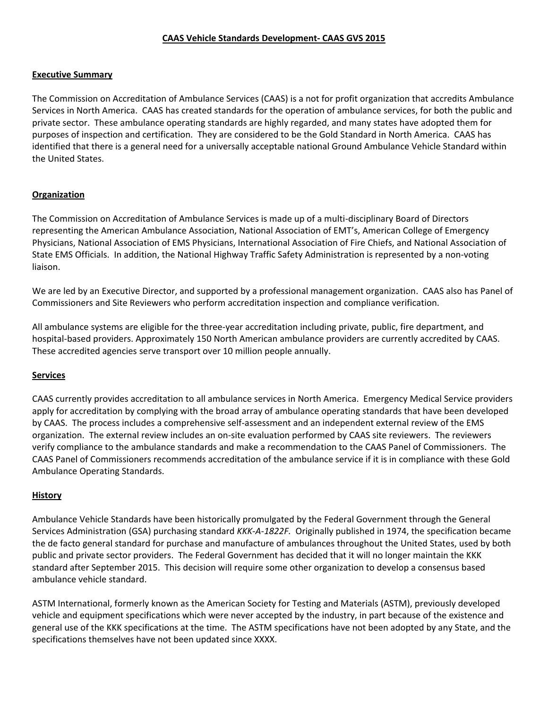### **CAAS Vehicle Standards Development- CAAS GVS 2015**

#### **Executive Summary**

The Commission on Accreditation of Ambulance Services (CAAS) is a not for profit organization that accredits Ambulance Services in North America. CAAS has created standards for the operation of ambulance services, for both the public and private sector. These ambulance operating standards are highly regarded, and many states have adopted them for purposes of inspection and certification. They are considered to be the Gold Standard in North America. CAAS has identified that there is a general need for a universally acceptable national Ground Ambulance Vehicle Standard within the United States.

## **Organization**

The Commission on Accreditation of Ambulance Services is made up of a multi-disciplinary Board of Directors representing the American Ambulance Association, National Association of EMT's, American College of Emergency Physicians, National Association of EMS Physicians, International Association of Fire Chiefs, and National Association of State EMS Officials. In addition, the National Highway Traffic Safety Administration is represented by a non-voting liaison.

We are led by an Executive Director, and supported by a professional management organization. CAAS also has Panel of Commissioners and Site Reviewers who perform accreditation inspection and compliance verification.

All ambulance systems are eligible for the three-year accreditation including private, public, fire department, and hospital-based providers. Approximately 150 North American ambulance providers are currently accredited by CAAS. These accredited agencies serve transport over 10 million people annually.

### **Services**

CAAS currently provides accreditation to all ambulance services in North America. Emergency Medical Service providers apply for accreditation by complying with the broad array of ambulance operating standards that have been developed by CAAS. The process includes a comprehensive self-assessment and an independent external review of the EMS organization. The external review includes an on-site evaluation performed by CAAS site reviewers. The reviewers verify compliance to the ambulance standards and make a recommendation to the CAAS Panel of Commissioners. The CAAS Panel of Commissioners recommends accreditation of the ambulance service if it is in compliance with these Gold Ambulance Operating Standards.

### **History**

Ambulance Vehicle Standards have been historically promulgated by the Federal Government through the General Services Administration (GSA) purchasing standard *KKK-A-1822F.* Originally published in 1974, the specification became the de facto general standard for purchase and manufacture of ambulances throughout the United States, used by both public and private sector providers. The Federal Government has decided that it will no longer maintain the KKK standard after September 2015. This decision will require some other organization to develop a consensus based ambulance vehicle standard.

ASTM International, formerly known as the American Society for Testing and Materials (ASTM), previously developed vehicle and equipment specifications which were never accepted by the industry, in part because of the existence and general use of the KKK specifications at the time. The ASTM specifications have not been adopted by any State, and the specifications themselves have not been updated since XXXX.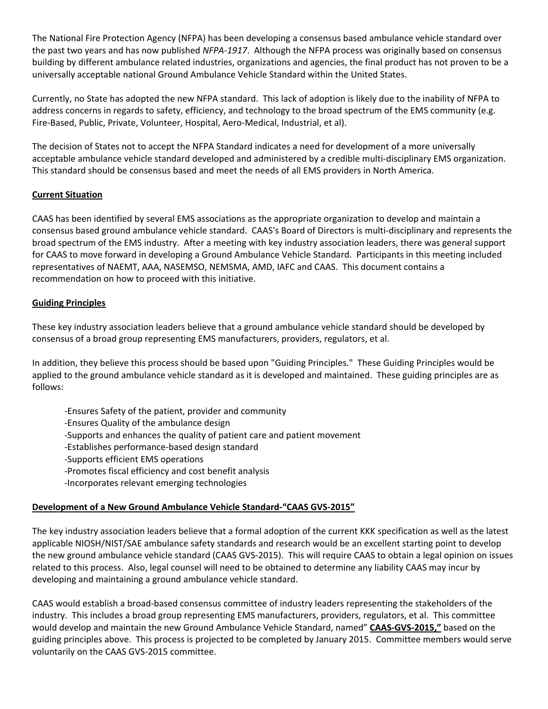The National Fire Protection Agency (NFPA) has been developing a consensus based ambulance vehicle standard over the past two years and has now published *NFPA-1917*. Although the NFPA process was originally based on consensus building by different ambulance related industries, organizations and agencies, the final product has not proven to be a universally acceptable national Ground Ambulance Vehicle Standard within the United States.

Currently, no State has adopted the new NFPA standard. This lack of adoption is likely due to the inability of NFPA to address concerns in regards to safety, efficiency, and technology to the broad spectrum of the EMS community (e.g. Fire-Based, Public, Private, Volunteer, Hospital, Aero-Medical, Industrial, et al).

The decision of States not to accept the NFPA Standard indicates a need for development of a more universally acceptable ambulance vehicle standard developed and administered by a credible multi-disciplinary EMS organization. This standard should be consensus based and meet the needs of all EMS providers in North America.

## **Current Situation**

CAAS has been identified by several EMS associations as the appropriate organization to develop and maintain a consensus based ground ambulance vehicle standard. CAAS's Board of Directors is multi-disciplinary and represents the broad spectrum of the EMS industry. After a meeting with key industry association leaders, there was general support for CAAS to move forward in developing a Ground Ambulance Vehicle Standard. Participants in this meeting included representatives of NAEMT, AAA, NASEMSO, NEMSMA, AMD, IAFC and CAAS. This document contains a recommendation on how to proceed with this initiative.

## **Guiding Principles**

These key industry association leaders believe that a ground ambulance vehicle standard should be developed by consensus of a broad group representing EMS manufacturers, providers, regulators, et al.

In addition, they believe this process should be based upon "Guiding Principles." These Guiding Principles would be applied to the ground ambulance vehicle standard as it is developed and maintained. These guiding principles are as follows:

- -Ensures Safety of the patient, provider and community
- -Ensures Quality of the ambulance design
- -Supports and enhances the quality of patient care and patient movement
- -Establishes performance-based design standard
- -Supports efficient EMS operations
- -Promotes fiscal efficiency and cost benefit analysis
- -Incorporates relevant emerging technologies

### **Development of a New Ground Ambulance Vehicle Standard-"CAAS GVS-2015"**

The key industry association leaders believe that a formal adoption of the current KKK specification as well as the latest applicable NIOSH/NIST/SAE ambulance safety standards and research would be an excellent starting point to develop the new ground ambulance vehicle standard (CAAS GVS-2015). This will require CAAS to obtain a legal opinion on issues related to this process. Also, legal counsel will need to be obtained to determine any liability CAAS may incur by developing and maintaining a ground ambulance vehicle standard.

CAAS would establish a broad-based consensus committee of industry leaders representing the stakeholders of the industry. This includes a broad group representing EMS manufacturers, providers, regulators, et al. This committee would develop and maintain the new Ground Ambulance Vehicle Standard, named" **CAAS-GVS-2015,"** based on the guiding principles above. This process is projected to be completed by January 2015. Committee members would serve voluntarily on the CAAS GVS-2015 committee.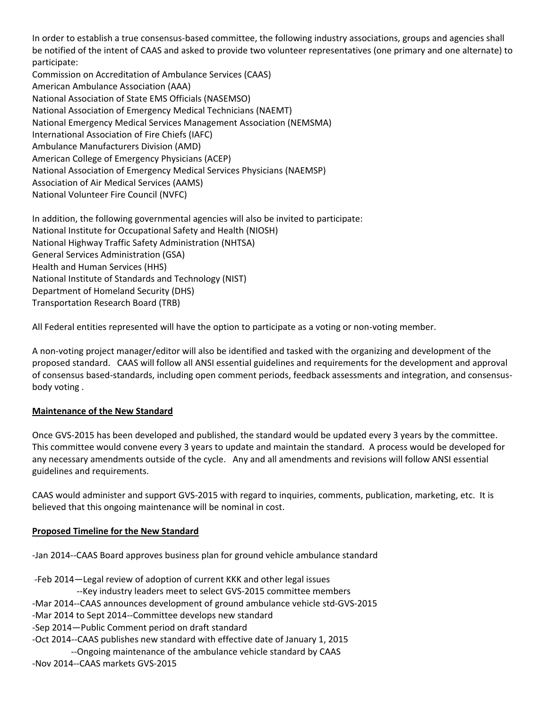In order to establish a true consensus-based committee, the following industry associations, groups and agencies shall be notified of the intent of CAAS and asked to provide two volunteer representatives (one primary and one alternate) to participate:

Commission on Accreditation of Ambulance Services (CAAS) American Ambulance Association (AAA) National Association of State EMS Officials (NASEMSO) National Association of Emergency Medical Technicians (NAEMT) National Emergency Medical Services Management Association (NEMSMA) International Association of Fire Chiefs (IAFC) Ambulance Manufacturers Division (AMD) American College of Emergency Physicians (ACEP) National Association of Emergency Medical Services Physicians (NAEMSP) Association of Air Medical Services (AAMS) National Volunteer Fire Council (NVFC)

In addition, the following governmental agencies will also be invited to participate: [National Institute for Occupational Safety and Health \(NIOSH\)](http://search.yahoo.com/r/_ylt=A0LEVxrC3_xS_V0A0plXNyoA;_ylu=X3oDMTEzNTFjaWk5BHNlYwNzcgRwb3MDMQRjb2xvA2JmMQR2dGlkA1ZJUDI3MV8x/SIG=11d165ll7/EXP=1392332866/**http%3a/www.cdc.gov/niosh/) National Highway Traffic Safety Administration (NHTSA) General Services Administration (GSA) Health and Human Services (HHS) National Institute of Standards and Technology (NIST) Department of Homeland Security (DHS) Transportation Research Board (TRB)

All Federal entities represented will have the option to participate as a voting or non-voting member.

A non-voting project manager/editor will also be identified and tasked with the organizing and development of the proposed standard. CAAS will follow all ANSI essential guidelines and requirements for the development and approval of consensus based-standards, including open comment periods, feedback assessments and integration, and consensusbody voting .

# **Maintenance of the New Standard**

Once GVS-2015 has been developed and published, the standard would be updated every 3 years by the committee. This committee would convene every 3 years to update and maintain the standard. A process would be developed for any necessary amendments outside of the cycle. Any and all amendments and revisions will follow ANSI essential guidelines and requirements.

CAAS would administer and support GVS-2015 with regard to inquiries, comments, publication, marketing, etc. It is believed that this ongoing maintenance will be nominal in cost.

# **Proposed Timeline for the New Standard**

-Jan 2014--CAAS Board approves business plan for ground vehicle ambulance standard

- -Feb 2014—Legal review of adoption of current KKK and other legal issues
	- --Key industry leaders meet to select GVS-2015 committee members
- -Mar 2014--CAAS announces development of ground ambulance vehicle std-GVS-2015
- -Mar 2014 to Sept 2014--Committee develops new standard
- -Sep 2014—Public Comment period on draft standard
- -Oct 2014--CAAS publishes new standard with effective date of January 1, 2015
- --Ongoing maintenance of the ambulance vehicle standard by CAAS
- -Nov 2014--CAAS markets GVS-2015